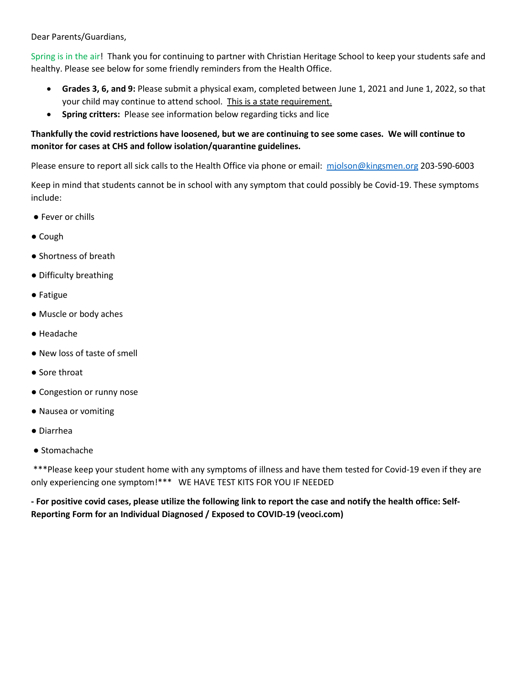Dear Parents/Guardians,

Spring is in the air! Thank you for continuing to partner with Christian Heritage School to keep your students safe and healthy. Please see below for some friendly reminders from the Health Office.

- **Grades 3, 6, and 9:** Please submit a physical exam, completed between June 1, 2021 and June 1, 2022, so that your child may continue to attend school. This is a state requirement.
- **Spring critters:** Please see information below regarding ticks and lice

## **Thankfully the covid restrictions have loosened, but we are continuing to see some cases. We will continue to monitor for cases at CHS and follow isolation/quarantine guidelines.**

Please ensure to report all sick calls to the Health Office via phone or email: [mjolson@kingsmen.org](mailto:mjolson@kingsmen.org) 203-590-6003

Keep in mind that students cannot be in school with any symptom that could possibly be Covid-19. These symptoms include:

- Fever or chills
- Cough
- Shortness of breath
- Difficulty breathing
- Fatigue
- Muscle or body aches
- Headache
- New loss of taste of smell
- Sore throat
- Congestion or runny nose
- Nausea or vomiting
- Diarrhea
- Stomachache

\*\*\*Please keep your student home with any symptoms of illness and have them tested for Covid-19 even if they are only experiencing one symptom!\*\*\* WE HAVE TEST KITS FOR YOU IF NEEDED

**- For positive covid cases, please utilize the following link to report the case and notify the health office: Self-Reporting Form for an Individual Diagnosed / Exposed to COVID-19 (veoci.com)**